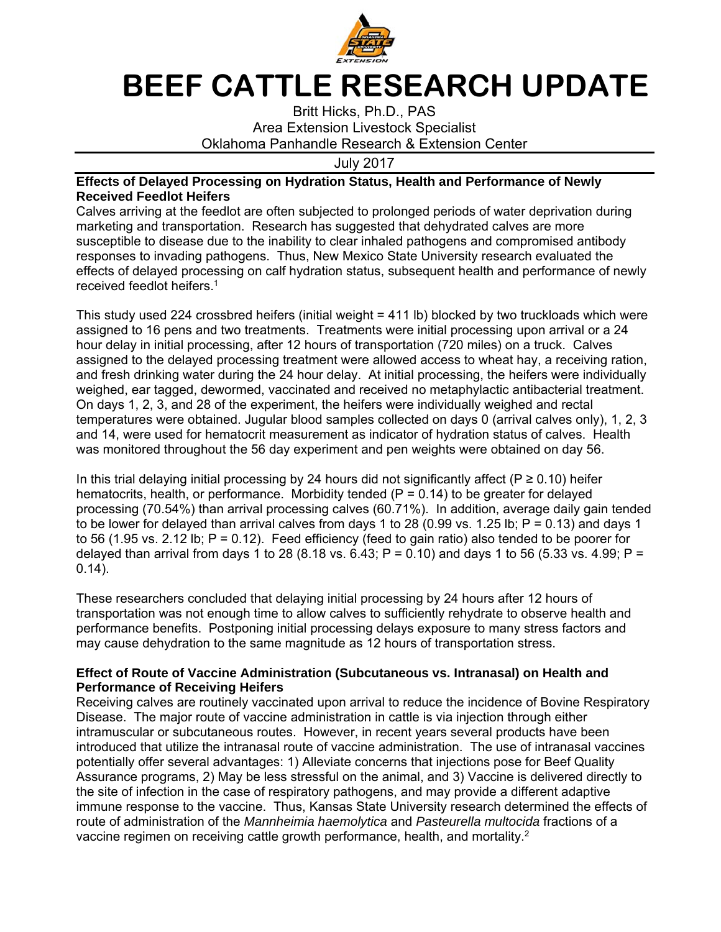

## **BEEF CATTLE RESEARCH UPDATE**

Britt Hicks, Ph.D., PAS Area Extension Livestock Specialist Oklahoma Panhandle Research & Extension Center

July 2017

## **Effects of Delayed Processing on Hydration Status, Health and Performance of Newly Received Feedlot Heifers**

Calves arriving at the feedlot are often subjected to prolonged periods of water deprivation during marketing and transportation. Research has suggested that dehydrated calves are more susceptible to disease due to the inability to clear inhaled pathogens and compromised antibody responses to invading pathogens. Thus, New Mexico State University research evaluated the effects of delayed processing on calf hydration status, subsequent health and performance of newly received feedlot heifers.1

This study used 224 crossbred heifers (initial weight = 411 lb) blocked by two truckloads which were assigned to 16 pens and two treatments. Treatments were initial processing upon arrival or a 24 hour delay in initial processing, after 12 hours of transportation (720 miles) on a truck. Calves assigned to the delayed processing treatment were allowed access to wheat hay, a receiving ration, and fresh drinking water during the 24 hour delay. At initial processing, the heifers were individually weighed, ear tagged, dewormed, vaccinated and received no metaphylactic antibacterial treatment. On days 1, 2, 3, and 28 of the experiment, the heifers were individually weighed and rectal temperatures were obtained. Jugular blood samples collected on days 0 (arrival calves only), 1, 2, 3 and 14, were used for hematocrit measurement as indicator of hydration status of calves. Health was monitored throughout the 56 day experiment and pen weights were obtained on day 56.

In this trial delaying initial processing by 24 hours did not significantly affect ( $P \ge 0.10$ ) heifer hematocrits, health, or performance. Morbidity tended  $(P = 0.14)$  to be greater for delayed processing (70.54%) than arrival processing calves (60.71%). In addition, average daily gain tended to be lower for delayed than arrival calves from days 1 to 28 (0.99 vs. 1.25 lb;  $P = 0.13$ ) and days 1 to 56 (1.95 vs. 2.12 lb;  $P = 0.12$ ). Feed efficiency (feed to gain ratio) also tended to be poorer for delayed than arrival from days 1 to 28 (8.18 vs.  $6.43$ ; P = 0.10) and days 1 to 56 (5.33 vs. 4.99; P = 0.14).

These researchers concluded that delaying initial processing by 24 hours after 12 hours of transportation was not enough time to allow calves to sufficiently rehydrate to observe health and performance benefits. Postponing initial processing delays exposure to many stress factors and may cause dehydration to the same magnitude as 12 hours of transportation stress.

## **Effect of Route of Vaccine Administration (Subcutaneous vs. Intranasal) on Health and Performance of Receiving Heifers**

Receiving calves are routinely vaccinated upon arrival to reduce the incidence of Bovine Respiratory Disease. The major route of vaccine administration in cattle is via injection through either intramuscular or subcutaneous routes. However, in recent years several products have been introduced that utilize the intranasal route of vaccine administration. The use of intranasal vaccines potentially offer several advantages: 1) Alleviate concerns that injections pose for Beef Quality Assurance programs, 2) May be less stressful on the animal, and 3) Vaccine is delivered directly to the site of infection in the case of respiratory pathogens, and may provide a different adaptive immune response to the vaccine. Thus, Kansas State University research determined the effects of route of administration of the *Mannheimia haemolytica* and *Pasteurella multocida* fractions of a vaccine regimen on receiving cattle growth performance, health, and mortality.<sup>2</sup>